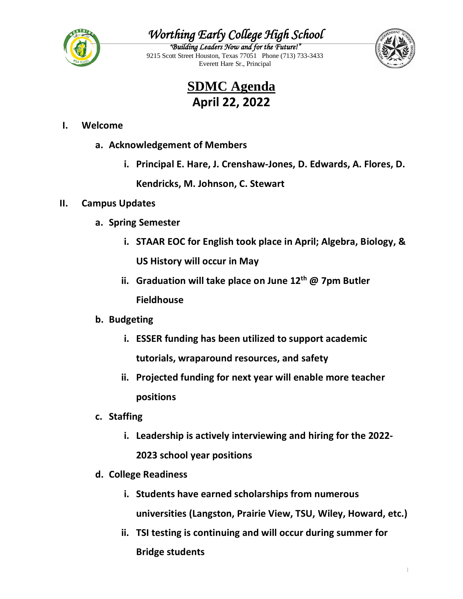

# *Worthing Early College High School*

*"Building Leaders Now and for the Future!"*  9215 Scott Street Houston, Texas 77051 Phone (713) 733-3433 Everett Hare Sr., Principal



**SDMC Agenda April 22, 2022**

### **I. Welcome**

- **a. Acknowledgement of Members**
	- **i. Principal E. Hare, J. Crenshaw-Jones, D. Edwards, A. Flores, D.**

**Kendricks, M. Johnson, C. Stewart**

### **II. Campus Updates**

- **a. Spring Semester**
	- **i. STAAR EOC for English took place in April; Algebra, Biology, & US History will occur in May**
	- **ii. Graduation will take place on June 12th @ 7pm Butler Fieldhouse**

## **b. Budgeting**

- **i. ESSER funding has been utilized to support academic tutorials, wraparound resources, and safety**
- **ii. Projected funding for next year will enable more teacher positions**
- **c. Staffing**
	- **i. Leadership is actively interviewing and hiring for the 2022- 2023 school year positions**
- **d. College Readiness**
	- **i. Students have earned scholarships from numerous universities (Langston, Prairie View, TSU, Wiley, Howard, etc.)**
	- **ii. TSI testing is continuing and will occur during summer for Bridge students**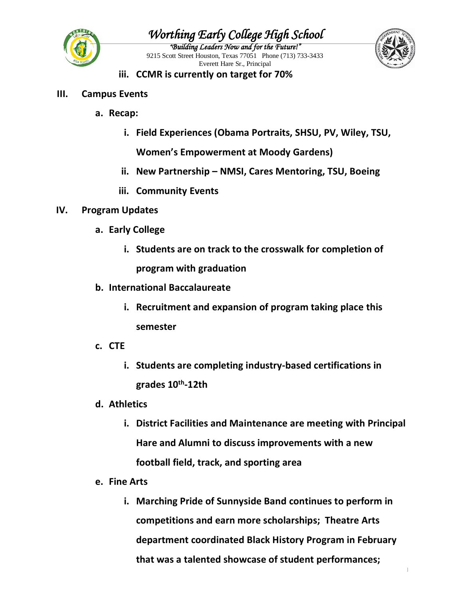

# *Worthing Early College High School*

*"Building Leaders Now and for the Future!"*  9215 Scott Street Houston, Texas 77051 Phone (713) 733-3433 Everett Hare Sr., Principal



### **iii. CCMR is currently on target for 70%**

- **III. Campus Events**
	- **a. Recap:**
		- **i. Field Experiences (Obama Portraits, SHSU, PV, Wiley, TSU,**

**Women's Empowerment at Moody Gardens)**

- **ii. New Partnership – NMSI, Cares Mentoring, TSU, Boeing**
- **iii. Community Events**

### **IV. Program Updates**

- **a. Early College** 
	- **i. Students are on track to the crosswalk for completion of program with graduation**
- **b. International Baccalaureate**
	- **i. Recruitment and expansion of program taking place this semester**
- **c. CTE**
	- **i. Students are completing industry-based certifications in grades 10th -12th**
- **d. Athletics**
	- **i. District Facilities and Maintenance are meeting with Principal Hare and Alumni to discuss improvements with a new football field, track, and sporting area**
- **e. Fine Arts**
	- **i. Marching Pride of Sunnyside Band continues to perform in competitions and earn more scholarships; Theatre Arts department coordinated Black History Program in February that was a talented showcase of student performances;**